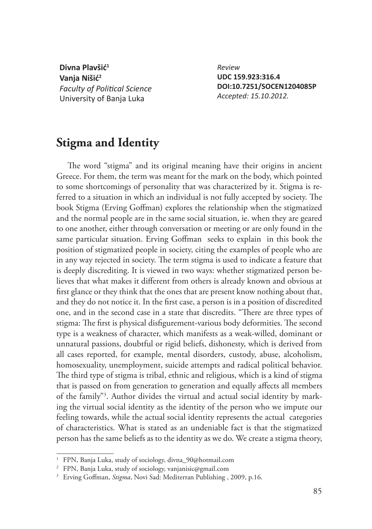**Divna Plavšić<sup>1</sup> Vanja Nišić<sup>2</sup> Faculty of Political Science** University of Banja Luka

*Review* **UDC 159.923:316.4 DOI:10.7251/SOCEN1204085P** *Accepted: 15.10.2012.*

## **Stigma and Identity**

The word "stigma" and its original meaning have their origins in ancient Greece. For them, the term was meant for the mark on the body, which pointed to some shortcomings of personality that was characterized by it. Stigma is referred to a situation in which an individual is not fully accepted by society. The book Stigma (Erving Goffman) explores the relationship when the stigmatized and the normal people are in the same social situation, ie. when they are geared to one another, either through conversation or meeting or are only found in the same particular situation. Erving Goffman seeks to explain in this book the position of stigmatized people in society, citing the examples of people who are in any way rejected in society. The term stigma is used to indicate a feature that is deeply discrediting. It is viewed in two ways: whether stigmatized person believes that what makes it different from others is already known and obvious at first glance or they think that the ones that are present know nothing about that, and they do not notice it. In the first case, a person is in a position of discredited one, and in the second case in a state that discredits. "There are three types of stigma: The first is physical disfigurement-various body deformities. The second type is a weakness of character, which manifests as a weak-willed, dominant or unnatural passions, doubtful or rigid beliefs, dishonesty, which is derived from all cases reported, for example, mental disorders, custody, abuse, alcoholism, homosexuality, unemployment, suicide attempts and radical political behavior. The third type of stigma is tribal, ethnic and religious, which is a kind of stigma that is passed on from generation to generation and equally affects all members of the family"3 . Author divides the virtual and actual social identity by marking the virtual social identity as the identity of the person who we impute our feeling towards, while the actual social identity represents the actual categories of characteristics. What is stated as an undeniable fact is that the stigmatized person has the same beliefs as to the identity as we do. We create a stigma theory,

<sup>1</sup> FPN, Banja Luka, study of sociology, divna\_90@hotmail.com

<sup>2</sup> FPN, Banja Luka, study of sociology, vanjanisic@gmail.com

<sup>&</sup>lt;sup>3</sup> Erving Goffman, *Stigma*, Novi Sad: Mediterran Publishing, 2009, p.16.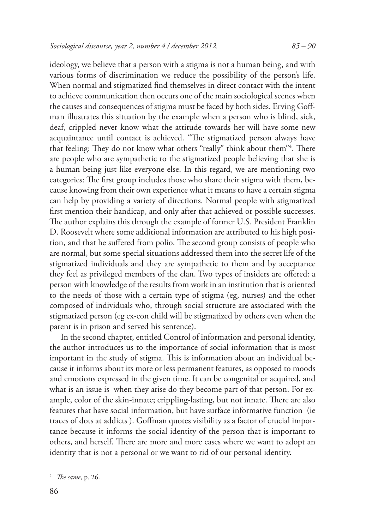ideology, we believe that a person with a stigma is not a human being, and with various forms of discrimination we reduce the possibility of the person's life. When normal and stigmatized find themselves in direct contact with the intent to achieve communication then occurs one of the main sociological scenes when the causes and consequences of stigma must be faced by both sides. Erving Goffman illustrates this situation by the example when a person who is blind, sick, deaf, crippled never know what the attitude towards her will have some new acquaintance until contact is achieved. "The stigmatized person always have that feeling: They do not know what others "really" think about them"<sup>4</sup>. There are people who are sympathetic to the stigmatized people believing that she is a human being just like everyone else. In this regard, we are mentioning two categories: The first group includes those who share their stigma with them, because knowing from their own experience what it means to have a certain stigma can help by providing a variety of directions. Normal people with stigmatized first mention their handicap, and only after that achieved or possible successes. The author explains this through the example of former U.S. President Franklin D. Roosevelt where some additional information are attributed to his high position, and that he suffered from polio. The second group consists of people who are normal, but some special situations addressed them into the secret life of the stigmatized individuals and they are sympathetic to them and by acceptance they feel as privileged members of the clan. Two types of insiders are offered: a person with knowledge of the results from work in an institution that is oriented to the needs of those with a certain type of stigma (eg, nurses) and the other composed of individuals who, through social structure are associated with the stigmatized person (eg ex-con child will be stigmatized by others even when the parent is in prison and served his sentence).

In the second chapter, entitled Control of information and personal identity, the author introduces us to the importance of social information that is most important in the study of stigma. This is information about an individual because it informs about its more or less permanent features, as opposed to moods and emotions expressed in the given time. It can be congenital or acquired, and what is an issue is when they arise do they become part of that person. For example, color of the skin-innate; crippling-lasting, but not innate. There are also features that have social information, but have surface informative function (ie traces of dots at addicts). Goffman quotes visibility as a factor of crucial importance because it informs the social identity of the person that is important to others, and herself. There are more and more cases where we want to adopt an identity that is not a personal or we want to rid of our personal identity.

<sup>&</sup>lt;sup>4</sup> *The same*, p. 26.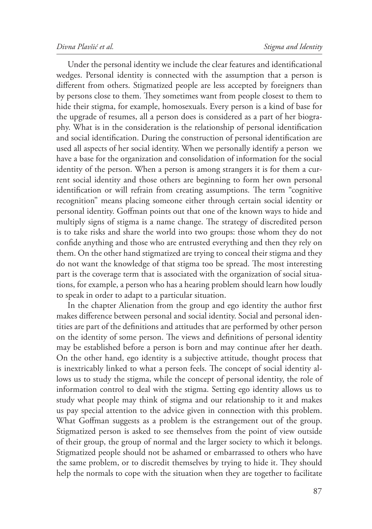Under the personal identity we include the clear features and identificational wedges. Personal identity is connected with the assumption that a person is different from others. Stigmatized people are less accepted by foreigners than by persons close to them. They sometimes want from people closest to them to hide their stigma, for example, homosexuals. Every person is a kind of base for the upgrade of resumes, all a person does is considered as a part of her biography. What is in the consideration is the relationship of personal identification and social identification. During the construction of personal identification are used all aspects of her social identity. When we personally identify a person we have a base for the organization and consolidation of information for the social identity of the person. When a person is among strangers it is for them a current social identity and those others are beginning to form her own personal identification or will refrain from creating assumptions. The term "cognitive recognition" means placing someone either through certain social identity or personal identity. Goffman points out that one of the known ways to hide and multiply signs of stigma is a name change. The strategy of discredited person is to take risks and share the world into two groups: those whom they do not confide anything and those who are entrusted everything and then they rely on them. On the other hand stigmatized are trying to conceal their stigma and they do not want the knowledge of that stigma too be spread. The most interesting part is the coverage term that is associated with the organization of social situations, for example, a person who has a hearing problem should learn how loudly to speak in order to adapt to a particular situation.

In the chapter Alienation from the group and ego identity the author first makes difference between personal and social identity. Social and personal identities are part of the definitions and attitudes that are performed by other person on the identity of some person. The views and definitions of personal identity may be established before a person is born and may continue after her death. On the other hand, ego identity is a subjective attitude, thought process that is inextricably linked to what a person feels. The concept of social identity allows us to study the stigma, while the concept of personal identity, the role of information control to deal with the stigma. Setting ego identity allows us to study what people may think of stigma and our relationship to it and makes us pay special attention to the advice given in connection with this problem. What Goffman suggests as a problem is the estrangement out of the group. Stigmatized person is asked to see themselves from the point of view outside of their group, the group of normal and the larger society to which it belongs. Stigmatized people should not be ashamed or embarrassed to others who have the same problem, or to discredit themselves by trying to hide it. They should help the normals to cope with the situation when they are together to facilitate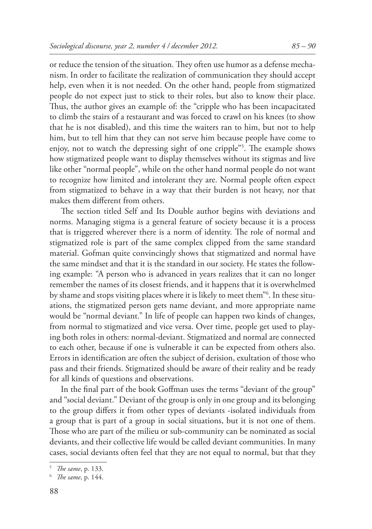or reduce the tension of the situation. They often use humor as a defense mechanism. In order to facilitate the realization of communication they should accept help, even when it is not needed. On the other hand, people from stigmatized people do not expect just to stick to their roles, but also to know their place. Thus, the author gives an example of: the "cripple who has been incapacitated to climb the stairs of a restaurant and was forced to crawl on his knees (to show that he is not disabled), and this time the waiters ran to him, but not to help him, but to tell him that they can not serve him because people have come to enjoy, not to watch the depressing sight of one cripple"<sup>5</sup>. The example shows how stigmatized people want to display themselves without its stigmas and live like other "normal people", while on the other hand normal people do not want to recognize how limited and intolerant they are. Normal people often expect from stigmatized to behave in a way that their burden is not heavy, nor that makes them different from others.

The section titled Self and Its Double author begins with deviations and norms. Managing stigma is a general feature of society because it is a process that is triggered wherever there is a norm of identity. The role of normal and stigmatized role is part of the same complex clipped from the same standard material. Gofman quite convincingly shows that stigmatized and normal have the same mindset and that it is the standard in our society. He states the following example: "A person who is advanced in years realizes that it can no longer remember the names of its closest friends, and it happens that it is overwhelmed by shame and stops visiting places where it is likely to meet them"6 . In these situations, the stigmatized person gets name deviant, and more appropriate name would be "normal deviant." In life of people can happen two kinds of changes, from normal to stigmatized and vice versa. Over time, people get used to playing both roles in others: normal-deviant. Stigmatized and normal are connected to each other, because if one is vulnerable it can be expected from others also. Errors in identification are often the subject of derision, exultation of those who pass and their friends. Stigmatized should be aware of their reality and be ready for all kinds of questions and observations.

In the final part of the book Goffman uses the terms "deviant of the group" and "social deviant." Deviant of the group is only in one group and its belonging to the group differs it from other types of deviants -isolated individuals from a group that is part of a group in social situations, but it is not one of them. Those who are part of the milieu or sub-community can be nominated as social deviants, and their collective life would be called deviant communities. In many cases, social deviants often feel that they are not equal to normal, but that they

<sup>&</sup>lt;sup>5</sup> *The same*, p. 133.

<sup>&</sup>lt;sup>6</sup> *The same*, p. 144.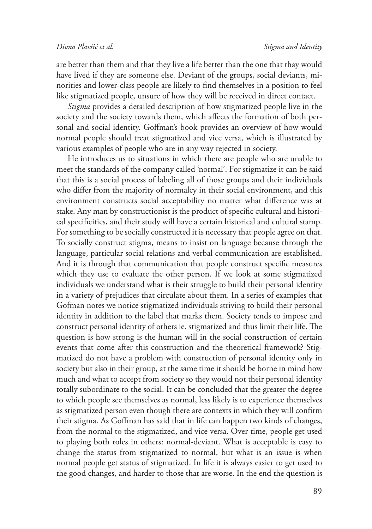are better than them and that they live a life better than the one that thay would have lived if they are someone else. Deviant of the groups, social deviants, minorities and lower-class people are likely to find themselves in a position to feel like stigmatized people, unsure of how they will be received in direct contact.

*Stigma* provides a detailed description of how stigmatized people live in the society and the society towards them, which affects the formation of both personal and social identity. Goffman's book provides an overview of how would normal people should treat stigmatized and vice versa, which is illustrated by various examples of people who are in any way rejected in society.

He introduces us to situations in which there are people who are unable to meet the standards of the company called 'normal'. For stigmatize it can be said that this is a social process of labeling all of those groups and their individuals who differ from the majority of normalcy in their social environment, and this environment constructs social acceptability no matter what difference was at stake. Any man by constructionist is the product of specific cultural and historical specificities, and their study will have a certain historical and cultural stamp. For something to be socially constructed it is necessary that people agree on that. To socially construct stigma, means to insist on language because through the language, particular social relations and verbal communication are established. And it is through that communication that people construct specific measures which they use to evaluate the other person. If we look at some stigmatized individuals we understand what is their struggle to build their personal identity in a variety of prejudices that circulate about them. In a series of examples that Gofman notes we notice stigmatized individuals striving to build their personal identity in addition to the label that marks them. Society tends to impose and construct personal identity of others ie. stigmatized and thus limit their life. The question is how strong is the human will in the social construction of certain events that come after this construction and the theoretical framework? Stigmatized do not have a problem with construction of personal identity only in society but also in their group, at the same time it should be borne in mind how much and what to accept from society so they would not their personal identity totally subordinate to the social. It can be concluded that the greater the degree to which people see themselves as normal, less likely is to experience themselves as stigmatized person even though there are contexts in which they will confirm their stigma. As Goffman has said that in life can happen two kinds of changes, from the normal to the stigmatized, and vice versa. Over time, people get used to playing both roles in others: normal-deviant. What is acceptable is easy to change the status from stigmatized to normal, but what is an issue is when normal people get status of stigmatized. In life it is always easier to get used to the good changes, and harder to those that are worse. In the end the question is